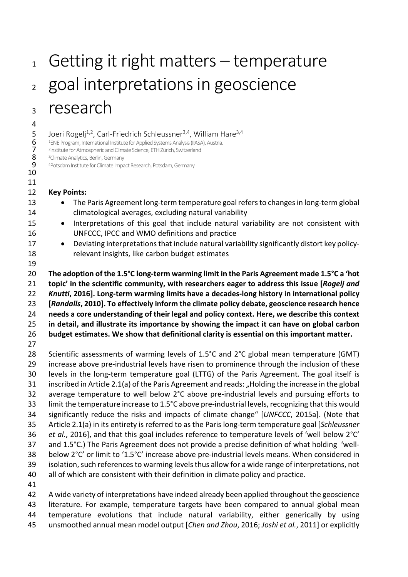# Getting it right matters – temperature 2 goal interpretations in geoscience research

5 Joeri Rogelj<sup>1,2</sup>, Carl-Friedrich Schleussner<sup>3,4</sup>, William Hare<sup>3,4</sup><br>6 <sup>1</sup>ENE Program, International Institute for Applied Systems Analysis (IIASA), Austria.<br>7 <sup>2</sup>Institute for Atmospheric and Climate Science, ETH Züri <sup>1</sup>ENE Program, International Institute for Applied Systems Analysis (IIASA), Austria.

**7** Pinstitute for Atmospheric and Climate Science, ETH Zürich, Switzerland<br> **8** Bolimate Analytics, Berlin, Germany

8 <sup>3</sup> Climate Analytics, Berlin, Germany<br>9 <sup>4</sup> Potsdam Institute for Climate Impa

<sup>4</sup> Potsdam Institute for Climate Impact Research, Potsdam, Germany 

#### **Key Points:**

- 13 The Paris Agreement long-term temperature goal refers to changes in long-term global climatological averages, excluding natural variability
- Interpretations of this goal that include natural variability are not consistent with UNFCCC, IPCC and WMO definitions and practice
- 17 Deviating interpretations that include natural variability significantly distort key policy-relevant insights, like carbon budget estimates
- 

 **The adoption of the 1.5°C long-term warming limit in the Paris Agreement made 1.5°C a 'hot topic' in the scientific community, with researchers eager to address this issue [***Rogelj and Knutti***, 2016]. Long-term warming limits have a decades-long history in international policy [***Randalls***, 2010]. To effectively inform the climate policy debate, geoscience research hence needs a core understanding of their legal and policy context. Here, we describe this context in detail, and illustrate its importance by showing the impact it can have on global carbon budget estimates. We show that definitional clarity is essential on this important matter.** 

 Scientific assessments of warming levels of 1.5°C and 2°C global mean temperature (GMT) increase above pre-industrial levels have risen to prominence through the inclusion of these levels in the long-term temperature goal (LTTG) of the Paris Agreement. The goal itself is 31 inscribed in Article 2.1(a) of the Paris Agreement and reads: "Holding the increase in the global average temperature to well below 2°C above pre-industrial levels and pursuing efforts to limit the temperature increase to 1.5°C above pre-industrial levels, recognizing that this would significantly reduce the risks and impacts of climate change" [*UNFCCC*, 2015a]. (Note that Article 2.1(a) in its entirety is referred to as the Paris long-term temperature goal [*Schleussner et al.*, 2016], and that this goal includes reference to temperature levels of 'well below 2°C' and 1.5°C.) The Paris Agreement does not provide a precise definition of what holding 'well- below 2°C' or limit to '1.5°C' increase above pre-industrial levels means. When considered in isolation, such references to warming levels thus allow for a wide range of interpretations, not all of which are consistent with their definition in climate policy and practice.

 A wide variety of interpretations have indeed already been applied throughout the geoscience literature. For example, temperature targets have been compared to annual global mean temperature evolutions that include natural variability, either generically by using unsmoothed annual mean model output [*Chen and Zhou*, 2016; *Joshi et al.*, 2011] or explicitly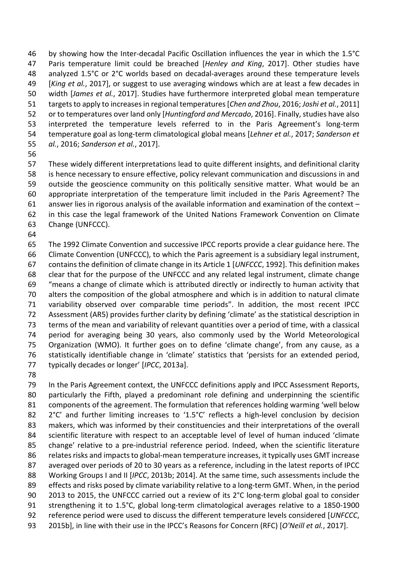by showing how the Inter-decadal Pacific Oscillation influences the year in which the 1.5°C Paris temperature limit could be breached [*Henley and King*, 2017]. Other studies have analyzed 1.5°C or 2°C worlds based on decadal-averages around these temperature levels [*King et al.*, 2017], or suggest to use averaging windows which are at least a few decades in width [*James et al.*, 2017]. Studies have furthermore interpreted global mean temperature targetsto apply to increases in regional temperatures[*Chen and Zhou*, 2016; *Joshi et al.*, 2011] or to temperatures over land only [*Huntingford and Mercado*, 2016]. Finally, studies have also interpreted the temperature levels referred to in the Paris Agreement's long-term temperature goal as long-term climatological global means [*Lehner et al.*, 2017; *Sanderson et al.*, 2016; *Sanderson et al.*, 2017].

 These widely different interpretations lead to quite different insights, and definitional clarity is hence necessary to ensure effective, policy relevant communication and discussions in and outside the geoscience community on this politically sensitive matter. What would be an appropriate interpretation of the temperature limit included in the Paris Agreement? The answer lies in rigorous analysis of the available information and examination of the context – in this case the legal framework of the United Nations Framework Convention on Climate Change (UNFCCC).

 The 1992 Climate Convention and successive IPCC reports provide a clear guidance here. The Climate Convention (UNFCCC), to which the Paris agreement is a subsidiary legal instrument, contains the definition of climate change in its Article 1 [*UNFCCC*, 1992]. This definition makes clear that for the purpose of the UNFCCC and any related legal instrument, climate change "means a change of climate which is attributed directly or indirectly to human activity that alters the composition of the global atmosphere and which is in addition to natural climate variability observed over comparable time periods". In addition, the most recent IPCC Assessment (AR5) provides further clarity by defining 'climate' as the statistical description in terms of the mean and variability of relevant quantities over a period of time, with a classical period for averaging being 30 years, also commonly used by the World Meteorological Organization (WMO). It further goes on to define 'climate change', from any cause, as a statistically identifiable change in 'climate' statistics that 'persists for an extended period, typically decades or longer' [*IPCC*, 2013a].

 In the Paris Agreement context, the UNFCCC definitions apply and IPCC Assessment Reports, 80 particularly the Fifth, played a predominant role defining and underpinning the scientific components of the agreement. The formulation that references holding warming 'well below 82 2°C' and further limiting increases to '1.5°C' reflects a high-level conclusion by decision makers, which was informed by their constituencies and their interpretations of the overall scientific literature with respect to an acceptable level of level of human induced 'climate change' relative to a pre-industrial reference period. Indeed, when the scientific literature relates risks and impacts to global-mean temperature increases, it typically uses GMT increase averaged over periods of 20 to 30 years as a reference, including in the latest reports of IPCC Working Groups I and II [*IPCC*, 2013b; 2014]. At the same time, such assessments include the effects and risks posed by climate variability relative to a long-term GMT. When, in the period 2013 to 2015, the UNFCCC carried out a review of its 2°C long-term global goal to consider 91 strengthening it to 1.5°C, global long-term climatological averages relative to a 1850-1900 reference period were used to discuss the different temperature levels considered [*UNFCCC*, 2015b], in line with their use in the IPCC's Reasons for Concern (RFC) [*O'Neill et al.*, 2017].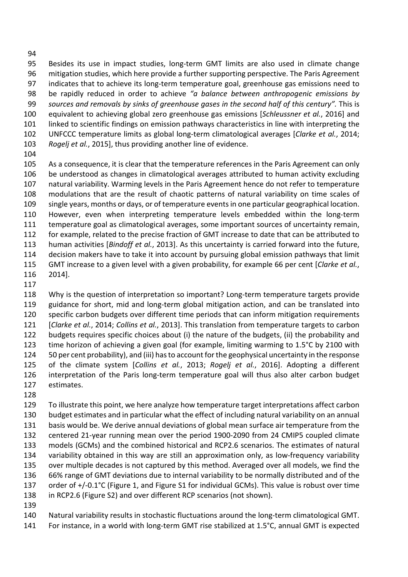Besides its use in impact studies, long-term GMT limits are also used in climate change mitigation studies, which here provide a further supporting perspective. The Paris Agreement indicates that to achieve its long-term temperature goal, greenhouse gas emissions need to be rapidly reduced in order to achieve *"a balance between anthropogenic emissions by sources and removals by sinks of greenhouse gases in the second half of this century".* This is equivalent to achieving global zero greenhouse gas emissions [*Schleussner et al.*, 2016] and linked to scientific findings on emission pathways characteristics in line with interpreting the UNFCCC temperature limits as global long-term climatological averages [*Clarke et al.*, 2014; *Rogelj et al.*, 2015], thus providing another line of evidence.

 As a consequence, it is clear that the temperature references in the Paris Agreement can only be understood as changes in climatological averages attributed to human activity excluding natural variability. Warming levels in the Paris Agreement hence do not refer to temperature modulations that are the result of chaotic patterns of natural variability on time scales of single years, months or days, or of temperature events in one particular geographical location. However, even when interpreting temperature levels embedded within the long-term temperature goal as climatological averages, some important sources of uncertainty remain, for example, related to the precise fraction of GMT increase to date that can be attributed to human activities [*Bindoff et al.*, 2013]. As this uncertainty is carried forward into the future, decision makers have to take it into account by pursuing global emission pathways that limit GMT increase to a given level with a given probability, for example 66 per cent [*Clarke et al.*, 2014].

 Why is the question of interpretation so important? Long-term temperature targets provide 119 guidance for short, mid and long-term global mitigation action, and can be translated into specific carbon budgets over different time periods that can inform mitigation requirements [*Clarke et al.*, 2014; *Collins et al.*, 2013]. This translation from temperature targets to carbon budgets requires specific choices about (i) the nature of the budgets, (ii) the probability and time horizon of achieving a given goal (for example, limiting warming to 1.5°C by 2100 with 50 per cent probability), and (iii) has to account for the geophysical uncertainty in the response of the climate system [*Collins et al.*, 2013; *Rogelj et al.*, 2016]. Adopting a different interpretation of the Paris long-term temperature goal will thus also alter carbon budget estimates.

 To illustrate this point, we here analyze how temperature target interpretations affect carbon budget estimates and in particular what the effect of including natural variability on an annual basis would be. We derive annual deviations of global mean surface air temperature from the centered 21-year running mean over the period 1900-2090 from 24 CMIP5 coupled climate models (GCMs) and the combined historical and RCP2.6 scenarios. The estimates of natural variability obtained in this way are still an approximation only, as low-frequency variability over multiple decades is not captured by this method. Averaged over all models, we find the 66% range of GMT deviations due to internal variability to be normally distributed and of the 137 order of +/-0.1°C (Figure 1, and Figure S1 for individual GCMs). This value is robust over time in RCP2.6 (Figure S2) and over different RCP scenarios (not shown). 

 Natural variability results in stochastic fluctuations around the long-term climatological GMT. For instance, in a world with long-term GMT rise stabilized at 1.5°C, annual GMT is expected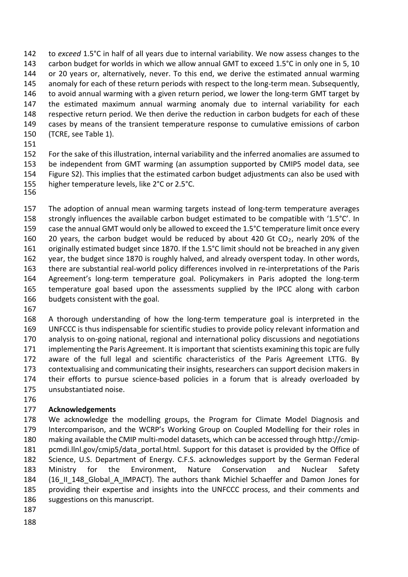to *exceed* 1.5°C in half of all years due to internal variability. We now assess changes to the 143 carbon budget for worlds in which we allow annual GMT to exceed 1.5°C in only one in 5, 10 or 20 years or, alternatively, never. To this end, we derive the estimated annual warming anomaly for each of these return periods with respect to the long-term mean. Subsequently, 146 to avoid annual warming with a given return period, we lower the long-term GMT target by the estimated maximum annual warming anomaly due to internal variability for each respective return period. We then derive the reduction in carbon budgets for each of these cases by means of the transient temperature response to cumulative emissions of carbon (TCRE, see Table 1).

 For the sake of this illustration, internal variability and the inferred anomalies are assumed to be independent from GMT warming (an assumption supported by CMIP5 model data, see Figure S2). This implies that the estimated carbon budget adjustments can also be used with higher temperature levels, like 2°C or 2.5°C.

 The adoption of annual mean warming targets instead of long-term temperature averages strongly influences the available carbon budget estimated to be compatible with '1.5°C'. In case the annual GMT would only be allowed to exceed the 1.5°C temperature limit once every 160 20 years, the carbon budget would be reduced by about 420 Gt  $CO<sub>2</sub>$ , nearly 20% of the originally estimated budget since 1870. If the 1.5°C limit should not be breached in any given year, the budget since 1870 is roughly halved, and already overspent today. In other words, there are substantial real-world policy differences involved in re-interpretations of the Paris Agreement's long-term temperature goal. Policymakers in Paris adopted the long-term temperature goal based upon the assessments supplied by the IPCC along with carbon budgets consistent with the goal.

 A thorough understanding of how the long-term temperature goal is interpreted in the UNFCCC is thus indispensable for scientific studies to provide policy relevant information and analysis to on-going national, regional and international policy discussions and negotiations implementing the Paris Agreement. It is important that scientists examining this topic are fully aware of the full legal and scientific characteristics of the Paris Agreement LTTG. By contextualising and communicating their insights, researchers can support decision makers in their efforts to pursue science-based policies in a forum that is already overloaded by unsubstantiated noise.

### **Acknowledgements**

 We acknowledge the modelling groups, the Program for Climate Model Diagnosis and Intercomparison, and the WCRP's Working Group on Coupled Modelling for their roles in making available the CMIP multi-model datasets, which can be accessed through http://cmip- pcmdi.llnl.gov/cmip5/data\_portal.html. Support for this dataset is provided by the Office of Science, U.S. Department of Energy. C.F.S. acknowledges support by the German Federal Ministry for the Environment, Nature Conservation and Nuclear Safety (16\_II\_148\_Global\_A\_IMPACT). The authors thank Michiel Schaeffer and Damon Jones for providing their expertise and insights into the UNFCCC process, and their comments and suggestions on this manuscript.

- 
-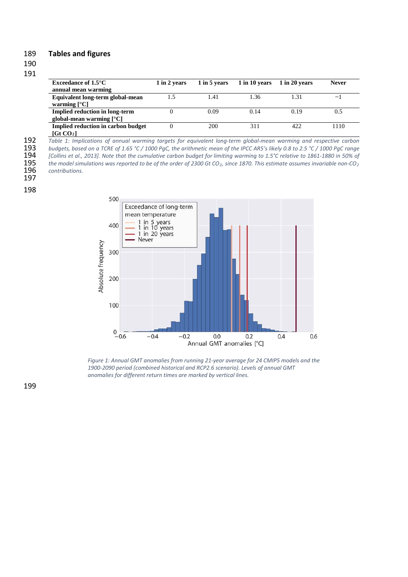#### 189 **Tables and figures**

#### 190

#### 191

| Exceedance of $1.5^{\circ}$ C         | 1 in 2 years | 1 in 5 years | 1 in 10 years | 1 in 20 years | <b>Never</b> |
|---------------------------------------|--------------|--------------|---------------|---------------|--------------|
| annual mean warming                   |              |              |               |               |              |
| Equivalent long-term global-mean      | 1.5          | 1.41         | 1.36          | 1.31          | $\sim$       |
| warming $[^{\circ}C]$                 |              |              |               |               |              |
| <b>Implied reduction in long-term</b> |              | 0.09         | 0.14          | 0.19          | 0.5          |
| global-mean warming $[^{\circ}C]$     |              |              |               |               |              |
| Implied reduction in carbon budget    |              | 200          | 311           | 422           | 1110         |
| [CHCO <sub>2</sub> ]                  |              |              |               |               |              |

**[Gt CO2]**

192 *Table 1: Implications of annual warming targets for equivalent long-term global-mean warming and respective carbon* 

193 *budgets, based on a TCRE of 1.65 °C / 1000 PgC, the arithmetic mean of the IPCC AR5's likely 0.8 to 2.5 °C / 1000 PgC range* 

194 *[Collins et al., 2013]. Note that the cumulative carbon budget for limiting warming to 1.5°C relative to 1861-1880 in 50% of* 

195 *the model simulations was reported to be of the order of 2300 Gt CO2, since 1870. This estimate assumes invariable non-CO2*  $contributions.$ 197

## 198



*Figure 1: Annual GMT anomalies from running 21-year average for 24 CMIP5 models and the 1900-2090 period (combined historical and RCP2.6 scenario). Levels of annual GMT anomalies for different return times are marked by vertical lines.*

199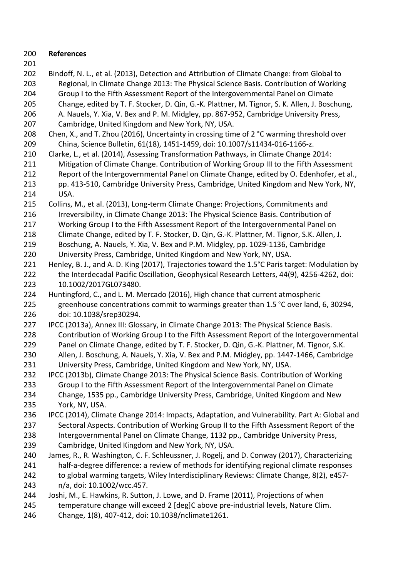- **References**
- 
- Regional, in Climate Change 2013: The Physical Science Basis. Contribution of Working Group I to the Fifth Assessment Report of the Intergovernmental Panel on Climate Change, edited by T. F. Stocker, D. Qin, G.-K. Plattner, M. Tignor, S. K. Allen, J. Boschung, A. Nauels, Y. Xia, V. Bex and P. M. Midgley, pp. 867-952, Cambridge University Press, Cambridge, United Kingdom and New York, NY, USA. 208 Chen, X., and T. Zhou (2016), Uncertainty in crossing time of 2 °C warming threshold over China, Science Bulletin, 61(18), 1451-1459, doi: 10.1007/s11434-016-1166-z. Clarke, L., et al. (2014), Assessing Transformation Pathways, in Climate Change 2014: Mitigation of Climate Change. Contribution of Working Group III to the Fifth Assessment Report of the Intergovernmental Panel on Climate Change, edited by O. Edenhofer, et al., pp. 413-510, Cambridge University Press, Cambridge, United Kingdom and New York, NY, USA. Collins, M., et al. (2013), Long-term Climate Change: Projections, Commitments and Irreversibility, in Climate Change 2013: The Physical Science Basis. Contribution of Working Group I to the Fifth Assessment Report of the Intergovernmental Panel on Climate Change, edited by T. F. Stocker, D. Qin, G.-K. Plattner, M. Tignor, S.K. Allen, J. Boschung, A. Nauels, Y. Xia, V. Bex and P.M. Midgley, pp. 1029-1136, Cambridge University Press, Cambridge, United Kingdom and New York, NY, USA. 221 Henley, B. J., and A. D. King (2017), Trajectories toward the 1.5°C Paris target: Modulation by the Interdecadal Pacific Oscillation, Geophysical Research Letters, 44(9), 4256-4262, doi: 10.1002/2017GL073480. Huntingford, C., and L. M. Mercado (2016), High chance that current atmospheric greenhouse concentrations commit to warmings greater than 1.5 °C over land, 6, 30294, doi: 10.1038/srep30294. IPCC (2013a), Annex III: Glossary, in Climate Change 2013: The Physical Science Basis. Contribution of Working Group I to the Fifth Assessment Report of the Intergovernmental Panel on Climate Change, edited by T. F. Stocker, D. Qin, G.-K. Plattner, M. Tignor, S.K. Allen, J. Boschung, A. Nauels, Y. Xia, V. Bex and P.M. Midgley, pp. 1447-1466, Cambridge University Press, Cambridge, United Kingdom and New York, NY, USA. IPCC (2013b), Climate Change 2013: The Physical Science Basis. Contribution of Working Group I to the Fifth Assessment Report of the Intergovernmental Panel on Climate Change, 1535 pp., Cambridge University Press, Cambridge, United Kingdom and New York, NY, USA. IPCC (2014), Climate Change 2014: Impacts, Adaptation, and Vulnerability. Part A: Global and Sectoral Aspects. Contribution of Working Group II to the Fifth Assessment Report of the Intergovernmental Panel on Climate Change, 1132 pp., Cambridge University Press, Cambridge, United Kingdom and New York, NY, USA. James, R., R. Washington, C. F. Schleussner, J. Rogelj, and D. Conway (2017), Characterizing half-a-degree difference: a review of methods for identifying regional climate responses to global warming targets, Wiley Interdisciplinary Reviews: Climate Change, 8(2), e457- n/a, doi: 10.1002/wcc.457. Joshi, M., E. Hawkins, R. Sutton, J. Lowe, and D. Frame (2011), Projections of when temperature change will exceed 2 [deg]C above pre-industrial levels, Nature Clim. Change, 1(8), 407-412, doi: 10.1038/nclimate1261.

Bindoff, N. L., et al. (2013), Detection and Attribution of Climate Change: from Global to